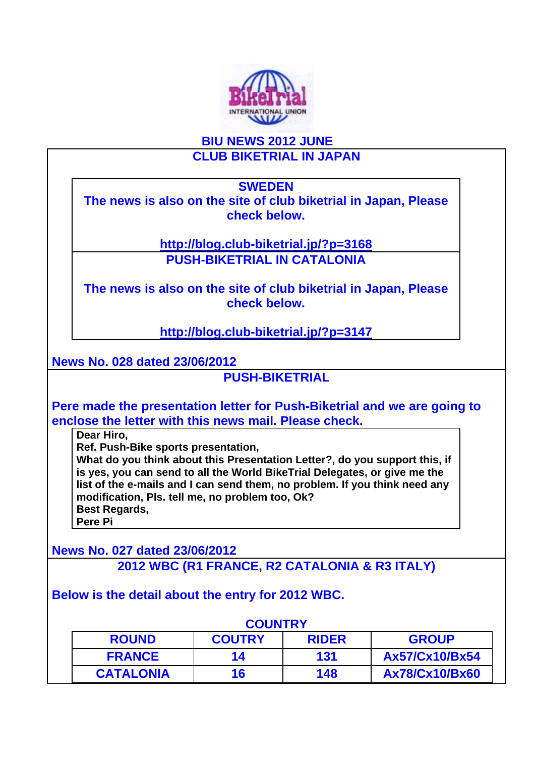

## **BIU NEWS 2012 JUNE CLUB BIKETRIAL IN JAPAN**

**SWEDEN**

**The news is also on the site of club biketrial in Japan, Please check below.**

> **http://blog.club-biketrial.jp/?p=3168 PUSH-BIKETRIAL IN CATALONIA**

**The news is also on the site of club biketrial in Japan, Please check below.**

**http://blog.club-biketrial.jp/?p=3147**

**News No. 028 dated 23/06/2012**

**PUSH-BIKETRIAL**

**Pere made the presentation letter for Push-Biketrial and we are going to enclose the letter with this news mail. Please check.** 

**Dear Hiro,** 

**Ref. Push-Bike sports presentation,** 

**What do you think about this Presentation Letter?, do you support this, if is yes, you can send to all the World BikeTrial Delegates, or give me the list of the e-mails and I can send them, no problem. If you think need any modification, Pls. tell me, no problem too, Ok? Best Regards,** 

**Pere Pi**

**News No. 027 dated 23/06/2012 2012 WBC (R1 FRANCE, R2 CATALONIA & R3 ITALY)**

**Below is the detail about the entry for 2012 WBC.**

|                  | <b>COUNTRY</b> |              |                       |
|------------------|----------------|--------------|-----------------------|
| <b>ROUND</b>     | <b>COUTRY</b>  | <b>RIDER</b> | <b>GROUP</b>          |
| <b>FRANCE</b>    | 14             | 131          | Ax57/Cx10/Bx54        |
| <b>CATALONIA</b> | 16             | 148          | <b>Ax78/Cx10/Bx60</b> |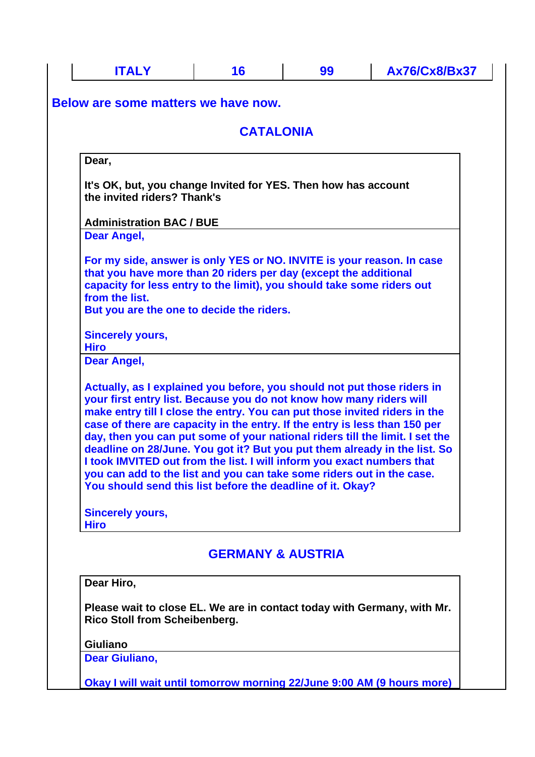| <b>ITALY</b>                                                                                                                                                                                                                                                                                                                                                                                                                                                                                                                                                                                                                                                                             | 16                           | 99 | <b>Ax76/Cx8/Bx37</b> |
|------------------------------------------------------------------------------------------------------------------------------------------------------------------------------------------------------------------------------------------------------------------------------------------------------------------------------------------------------------------------------------------------------------------------------------------------------------------------------------------------------------------------------------------------------------------------------------------------------------------------------------------------------------------------------------------|------------------------------|----|----------------------|
| Below are some matters we have now.                                                                                                                                                                                                                                                                                                                                                                                                                                                                                                                                                                                                                                                      |                              |    |                      |
|                                                                                                                                                                                                                                                                                                                                                                                                                                                                                                                                                                                                                                                                                          | <b>CATALONIA</b>             |    |                      |
| Dear,                                                                                                                                                                                                                                                                                                                                                                                                                                                                                                                                                                                                                                                                                    |                              |    |                      |
| It's OK, but, you change Invited for YES. Then how has account<br>the invited riders? Thank's                                                                                                                                                                                                                                                                                                                                                                                                                                                                                                                                                                                            |                              |    |                      |
| <b>Administration BAC / BUE</b>                                                                                                                                                                                                                                                                                                                                                                                                                                                                                                                                                                                                                                                          |                              |    |                      |
| Dear Angel,                                                                                                                                                                                                                                                                                                                                                                                                                                                                                                                                                                                                                                                                              |                              |    |                      |
| For my side, answer is only YES or NO. INVITE is your reason. In case<br>that you have more than 20 riders per day (except the additional<br>capacity for less entry to the limit), you should take some riders out<br>from the list.<br>But you are the one to decide the riders.                                                                                                                                                                                                                                                                                                                                                                                                       |                              |    |                      |
| <b>Sincerely yours,</b>                                                                                                                                                                                                                                                                                                                                                                                                                                                                                                                                                                                                                                                                  |                              |    |                      |
| <b>Hiro</b>                                                                                                                                                                                                                                                                                                                                                                                                                                                                                                                                                                                                                                                                              |                              |    |                      |
| <b>Dear Angel,</b>                                                                                                                                                                                                                                                                                                                                                                                                                                                                                                                                                                                                                                                                       |                              |    |                      |
| Actually, as I explained you before, you should not put those riders in<br>your first entry list. Because you do not know how many riders will<br>make entry till I close the entry. You can put those invited riders in the<br>case of there are capacity in the entry. If the entry is less than 150 per<br>day, then you can put some of your national riders till the limit. I set the<br>deadline on 28/June. You got it? But you put them already in the list. So<br>I took IMVITED out from the list. I will inform you exact numbers that<br>you can add to the list and you can take some riders out in the case.<br>You should send this list before the deadline of it. Okay? |                              |    |                      |
| <b>Sincerely yours,</b><br><b>Hiro</b>                                                                                                                                                                                                                                                                                                                                                                                                                                                                                                                                                                                                                                                   |                              |    |                      |
|                                                                                                                                                                                                                                                                                                                                                                                                                                                                                                                                                                                                                                                                                          | <b>GERMANY &amp; AUSTRIA</b> |    |                      |
| Dear Hiro,                                                                                                                                                                                                                                                                                                                                                                                                                                                                                                                                                                                                                                                                               |                              |    |                      |
| Please wait to close EL. We are in contact today with Germany, with Mr.<br><b>Rico Stoll from Scheibenberg.</b>                                                                                                                                                                                                                                                                                                                                                                                                                                                                                                                                                                          |                              |    |                      |
| <b>Giuliano</b>                                                                                                                                                                                                                                                                                                                                                                                                                                                                                                                                                                                                                                                                          |                              |    |                      |
| <b>Dear Giuliano,</b>                                                                                                                                                                                                                                                                                                                                                                                                                                                                                                                                                                                                                                                                    |                              |    |                      |
| Okay I will wait until tomorrow morning 22/June 9:00 AM (9 hours more)                                                                                                                                                                                                                                                                                                                                                                                                                                                                                                                                                                                                                   |                              |    |                      |
|                                                                                                                                                                                                                                                                                                                                                                                                                                                                                                                                                                                                                                                                                          |                              |    |                      |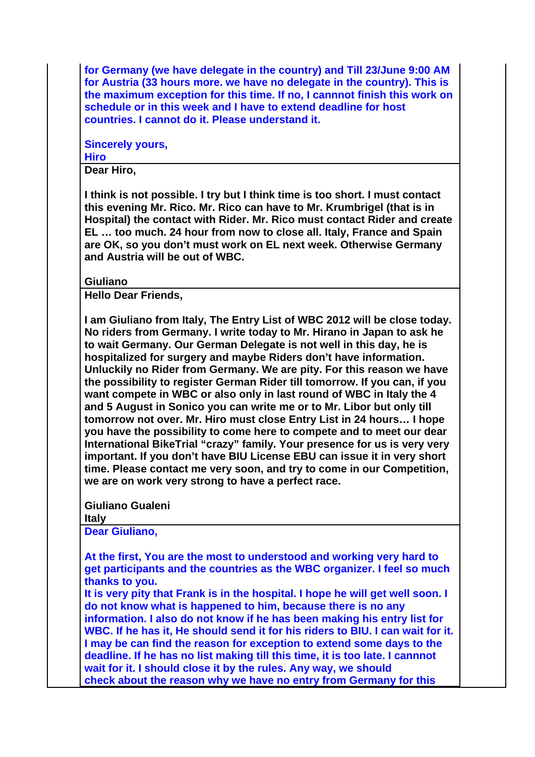**for Germany (we have delegate in the country) and Till 23/June 9:00 AM for Austria (33 hours more. we have no delegate in the country). This is the maximum exception for this time. If no, I cannnot finish this work on schedule or in this week and I have to extend deadline for host countries. I cannot do it. Please understand it.**

**Sincerely yours, Hiro**

**Dear Hiro,**

**I think is not possible. I try but I think time is too short. I must contact this evening Mr. Rico. Mr. Rico can have to Mr. Krumbrigel (that is in Hospital) the contact with Rider. Mr. Rico must contact Rider and create EL … too much. 24 hour from now to close all. Italy, France and Spain are OK, so you don't must work on EL next week. Otherwise Germany and Austria will be out of WBC.** 

**Giuliano**

**Hello Dear Friends,**

**I am Giuliano from Italy, The Entry List of WBC 2012 will be close today. No riders from Germany. I write today to Mr. Hirano in Japan to ask he to wait Germany. Our German Delegate is not well in this day, he is hospitalized for surgery and maybe Riders don't have information. Unluckily no Rider from Germany. We are pity. For this reason we have the possibility to register German Rider till tomorrow. If you can, if you want compete in WBC or also only in last round of WBC in Italy the 4 and 5 August in Sonico you can write me or to Mr. Libor but only till tomorrow not over. Mr. Hiro must close Entry List in 24 hours… I hope you have the possibility to come here to compete and to meet our dear International BikeTrial "crazy" family. Your presence for us is very very important. If you don't have BIU License EBU can issue it in very short time. Please contact me very soon, and try to come in our Competition, we are on work very strong to have a perfect race.** 

**Giuliano Gualeni**

**Italy**

**Dear Giuliano,**

**At the first, You are the most to understood and working very hard to get participants and the countries as the WBC organizer. I feel so much thanks to you.**

**It is very pity that Frank is in the hospital. I hope he will get well soon. I do not know what is happened to him, because there is no any information. I also do not know if he has been making his entry list for WBC. If he has it, He should send it for his riders to BIU. I can wait for it. I may be can find the reason for exception to extend some days to the deadline. If he has no list making till this time, it is too late. I cannnot wait for it. I should close it by the rules. Any way, we should check about the reason why we have no entry from Germany for this**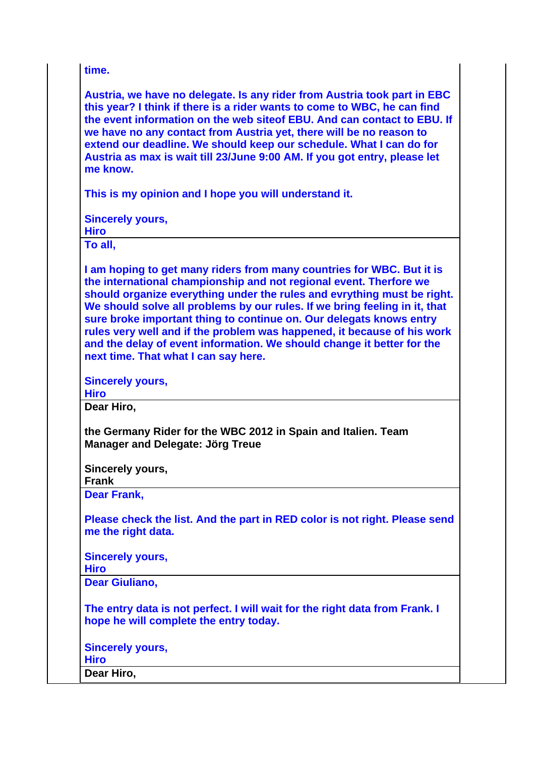**time.**

**Austria, we have no delegate. Is any rider from Austria took part in EBC this year? I think if there is a rider wants to come to WBC, he can find the event information on the web siteof EBU. And can contact to EBU. If we have no any contact from Austria yet, there will be no reason to extend our deadline. We should keep our schedule. What I can do for Austria as max is wait till 23/June 9:00 AM. If you got entry, please let me know.**

**This is my opinion and I hope you will understand it.**

**Sincerely yours,**

**Hiro**

**To all,**

**I am hoping to get many riders from many countries for WBC. But it is the international championship and not regional event. Therfore we should organize everything under the rules and evrything must be right. We should solve all problems by our rules. If we bring feeling in it, that sure broke important thing to continue on. Our delegats knows entry rules very well and if the problem was happened, it because of his work and the delay of event information. We should change it better for the next time. That what I can say here.** 

**Sincerely yours,**

**Hiro**

**Dear Hiro,**

**the Germany Rider for the WBC 2012 in Spain and Italien. Team Manager and Delegate: Jörg Treue** 

**Sincerely yours,**

**Frank**

**Dear Frank,**

**Please check the list. And the part in RED color is not right. Please send me the right data.**

**Sincerely yours,**

**Hiro**

**Dear Giuliano,**

**The entry data is not perfect. I will wait for the right data from Frank. I hope he will complete the entry today.**

**Sincerely yours, Hiro**

**Dear Hiro,**